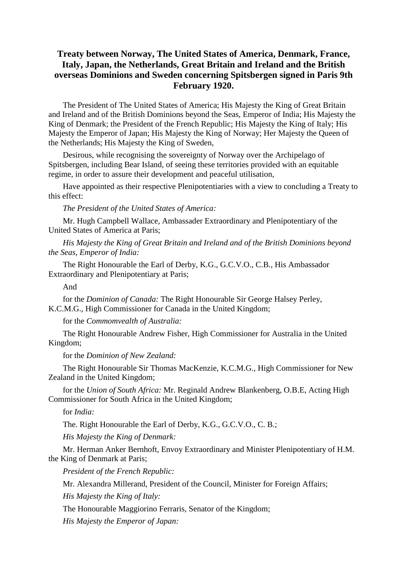# **Treaty between Norway, The United States of America, Denmark, France, Italy, Japan, the Netherlands, Great Britain and Ireland and the British overseas Dominions and Sweden concerning Spitsbergen signed in Paris 9th February 1920.**

 The President of The United States of America; His Majesty the King of Great Britain and Ireland and of the British Dominions beyond the Seas, Emperor of India; His Majesty the King of Denmark; the President of the French Republic; His Majesty the King of Italy; His Majesty the Emperor of Japan; His Majesty the King of Norway; Her Majesty the Queen of the Netherlands; His Majesty the King of Sweden,

 Desirous, while recognising the sovereignty of Norway over the Archipelago of Spitsbergen, including Bear Island, of seeing these territories provided with an equitable regime, in order to assure their development and peaceful utilisation,

 Have appointed as their respective Plenipotentiaries with a view to concluding a Treaty to this effect:

*The President of the United States of America:*

 Mr. Hugh Campbell Wallace, Ambassader Extraordinary and Plenipotentiary of the United States of America at Paris;

 *His Majesty the King of Great Britain and Ireland and of the British Dominions beyond the Seas, Emperor of India:*

 The Right Honourable the Earl of Derby, K.G., G.C.V.O., C.B., His Ambassador Extraordinary and Plenipotentiary at Paris;

And

 for the *Dominion of Canada:* The Right Honourable Sir George Halsey Perley, K.C.M.G., High Commissioner for Canada in the United Kingdom;

for the *Commomvealth of Australia:*

 The Right Honourable Andrew Fisher, High Commissioner for Australia in the United Kingdom;

for the *Dominion of New Zealand:*

 The Right Honourable Sir Thomas MacKenzie, K.C.M.G., High Commissioner for New Zealand in the United Kingdom;

 for the *Union of South Africa:* Mr. Reginald Andrew Blankenberg, O.B.E, Acting High Commissioner for South Africa in the United Kingdom;

for *India:*

The. Right Honourable the Earl of Derby, K.G., G.C.V.O., C. B.;

*His Majesty the King of Denmark:*

 Mr. Herman Anker Bernhoft, Envoy Extraordinary and Minister Plenipotentiary of H.M. the King of Denmark at Paris;

*President of the French Republic:*

Mr. Alexandra Millerand, President of the Council, Minister for Foreign Affairs;

*His Majesty the King of Italy:*

The Honourable Maggiorino Ferraris, Senator of the Kingdom;

*His Majesty the Emperor of Japan:*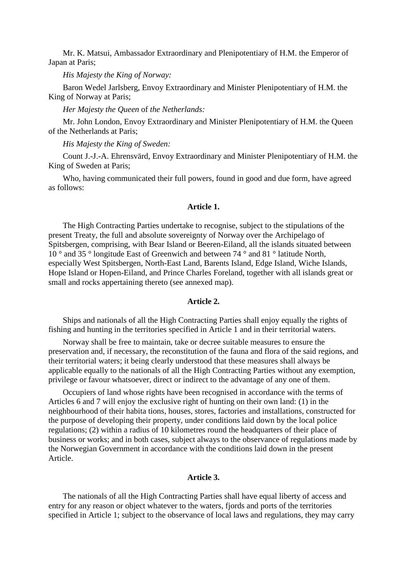Mr. K. Matsui, Ambassador Extraordinary and Plenipotentiary of H.M. the Emperor of Japan at Paris;

# *His Majesty the King of Norway:*

 Baron Wedel Jarlsberg, Envoy Extraordinary and Minister Plenipotentiary of H.M. the King of Norway at Paris;

### *Her Majesty the Queen* of *the Netherlands:*

 Mr. John London, Envoy Extraordinary and Minister Plenipotentiary of H.M. the Queen of the Netherlands at Paris;

### *His Majesty the King of Sweden:*

 Count J.-J.-A. Ehrensvärd, Envoy Extraordinary and Minister Plenipotentiary of H.M. the King of Sweden at Paris;

 Who, having communicated their full powers, found in good and due form, have agreed as follows:

# **Article 1.**

 The High Contracting Parties undertake to recognise, subject to the stipulations of the present Treaty, the full and absolute sovereignty of Norway over the Archipelago of Spitsbergen, comprising, with Bear Island or Beeren-Eiland, all the islands situated between 10 ° and 35 ° longitude East of Greenwich and between 74 ° and 81 ° latitude North, especially West Spitsbergen, North-East Land, Barents Island, Edge Island, Wiche Islands, Hope Island or Hopen-Eiland, and Prince Charles Foreland, together with all islands great or small and rocks appertaining thereto (see annexed map).

#### **Article 2.**

 Ships and nationals of all the High Contracting Parties shall enjoy equally the rights of fishing and hunting in the territories specified in Article 1 and in their territorial waters.

 Norway shall be free to maintain, take or decree suitable measures to ensure the preservation and, if necessary, the reconstitution of the fauna and flora of the said regions, and their territorial waters; it being clearly understood that these measures shall always be applicable equally to the nationals of all the High Contracting Parties without any exemption, privilege or favour whatsoever, direct or indirect to the advantage of any one of them.

 Occupiers of land whose rights have been recognised in accordance with the terms of Articles 6 and 7 will enjoy the exclusive right of hunting on their own land: (1) in the neighbourhood of their habita tions, houses, stores, factories and installations, constructed for the purpose of developing their property, under conditions laid down by the local police regulations; (2) within a radius of 10 kilometres round the headquarters of their place of business or works; and in both cases, subject always to the observance of regulations made by the Norwegian Government in accordance with the conditions laid down in the present Article.

# **Article 3.**

 The nationals of all the High Contracting Parties shall have equal liberty of access and entry for any reason or object whatever to the waters, fjords and ports of the territories specified in Article 1; subject to the observance of local laws and regulations, they may carry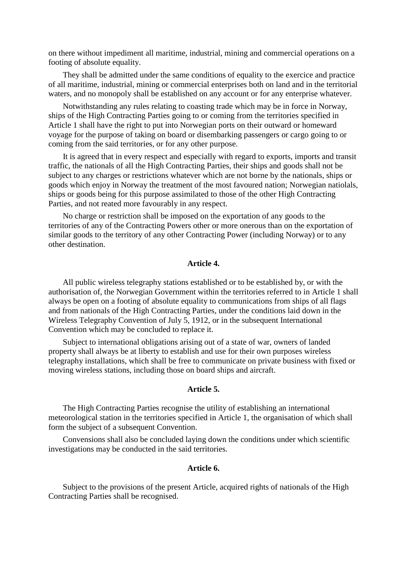on there without impediment all maritime, industrial, mining and commercial operations on a footing of absolute equality.

 They shall be admitted under the same conditions of equality to the exercice and practice of all maritime, industrial, mining or commercial enterprises both on land and in the territorial waters, and no monopoly shall be established on any account or for any enterprise whatever.

 Notwithstanding any rules relating to coasting trade which may be in force in Norway, ships of the High Contracting Parties going to or coming from the territories specified in Article 1 shall have the right to put into Norwegian ports on their outward or homeward voyage for the purpose of taking on board or disembarking passengers or cargo going to or coming from the said territories, or for any other purpose.

 It is agreed that in every respect and especially with regard to exports, imports and transit traffic, the nationals of all the High Contracting Parties, their ships and goods shall not be subject to any charges or restrictions whatever which are not borne by the nationals, ships or goods which enjoy in Norway the treatment of the most favoured nation; Norwegian natiolals, ships or goods being for this purpose assimilated to those of the other High Contracting Parties, and not reated more favourably in any respect.

 No charge or restriction shall be imposed on the exportation of any goods to the territories of any of the Contracting Powers other or more onerous than on the exportation of similar goods to the territory of any other Contracting Power (including Norway) or to any other destination.

# **Article 4.**

 All public wireless telegraphy stations established or to be established by, or with the authorisation of, the Norwegian Government within the territories referred to in Article 1 shall always be open on a footing of absolute equality to communications from ships of all flags and from nationals of the High Contracting Parties, under the conditions laid down in the Wireless Telegraphy Convention of July 5, 1912, or in the subsequent International Convention which may be concluded to replace it.

 Subject to international obligations arising out of a state of war, owners of landed property shall always be at liberty to establish and use for their own purposes wireless telegraphy installations, which shall be free to communicate on private business with fixed or moving wireless stations, including those on board ships and aircraft.

#### **Article 5.**

 The High Contracting Parties recognise the utility of establishing an international meteorological station in the territories specified in Article 1, the organisation of which shall form the subject of a subsequent Convention.

 Convensions shall also be concluded laying down the conditions under which scientific investigations may be conducted in the said territories.

# **Article 6.**

 Subject to the provisions of the present Article, acquired rights of nationals of the High Contracting Parties shall be recognised.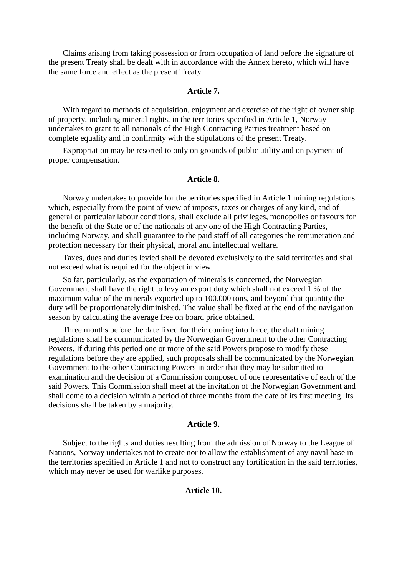Claims arising from taking possession or from occupation of land before the signature of the present Treaty shall be dealt with in accordance with the Annex hereto, which will have the same force and effect as the present Treaty.

### **Article 7.**

 With regard to methods of acquisition, enjoyment and exercise of the right of owner ship of property, including mineral rights, in the territories specified in Article 1, Norway undertakes to grant to all nationals of the High Contracting Parties treatment based on complete equality and in confirmity with the stipulations of the present Treaty.

 Expropriation may be resorted to only on grounds of public utility and on payment of proper compensation.

# **Article 8.**

 Norway undertakes to provide for the territories specified in Article 1 mining regulations which, especially from the point of view of imposts, taxes or charges of any kind, and of general or particular labour conditions, shall exclude all privileges, monopolies or favours for the benefit of the State or of the nationals of any one of the High Contracting Parties, including Norway, and shall guarantee to the paid staff of all categories the remuneration and protection necessary for their physical, moral and intellectual welfare.

 Taxes, dues and duties levied shall be devoted exclusively to the said territories and shall not exceed what is required for the object in view.

 So far, particularly, as the exportation of minerals is concerned, the Norwegian Government shall have the right to levy an export duty which shall not exceed 1 % of the maximum value of the minerals exported up to 100.000 tons, and beyond that quantity the duty will be proportionately diminished. The value shall be fixed at the end of the navigation season by calculating the average free on board price obtained.

 Three months before the date fixed for their coming into force, the draft mining regulations shall be communicated by the Norwegian Government to the other Contracting Powers. If during this period one or more of the said Powers propose to modify these regulations before they are applied, such proposals shall be communicated by the Norwegian Government to the other Contracting Powers in order that they may be submitted to examination and the decision of a Commission composed of one representative of each of the said Powers. This Commission shall meet at the invitation of the Norwegian Government and shall come to a decision within a period of three months from the date of its first meeting. Its decisions shall be taken by a majority.

# **Article 9.**

 Subject to the rights and duties resulting from the admission of Norway to the League of Nations, Norway undertakes not to create nor to allow the establishment of any naval base in the territories specified in Article 1 and not to construct any fortification in the said territories, which may never be used for warlike purposes.

# **Article 10.**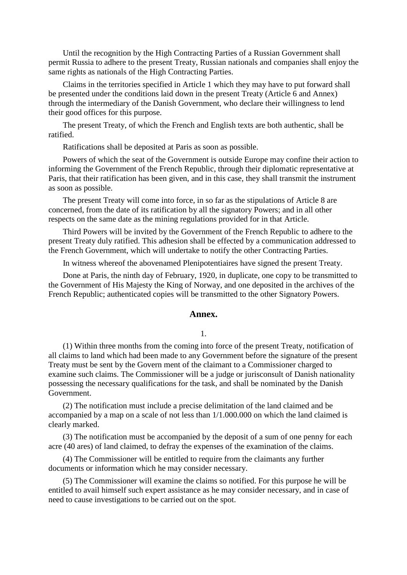Until the recognition by the High Contracting Parties of a Russian Government shall permit Russia to adhere to the present Treaty, Russian nationals and companies shall enjoy the same rights as nationals of the High Contracting Parties.

 Claims in the territories specified in Article 1 which they may have to put forward shall be presented under the conditions laid down in the present Treaty (Article 6 and Annex) through the intermediary of the Danish Government, who declare their willingness to lend their good offices for this purpose.

 The present Treaty, of which the French and English texts are both authentic, shall be ratified.

Ratifications shall be deposited at Paris as soon as possible.

 Powers of which the seat of the Government is outside Europe may confine their action to informing the Government of the French Republic, through their diplomatic representative at Paris, that their ratification has been given, and in this case, they shall transmit the instrument as soon as possible.

 The present Treaty will come into force, in so far as the stipulations of Article 8 are concerned, from the date of its ratification by all the signatory Powers; and in all other respects on the same date as the mining regulations provided for in that Article.

 Third Powers will be invited by the Government of the French Republic to adhere to the present Treaty duly ratified. This adhesion shall be effected by a communication addressed to the French Government, which will undertake to notify the other Contracting Parties.

In witness whereof the abovenamed Plenipotentiaires have signed the present Treaty.

 Done at Paris, the ninth day of February, 1920, in duplicate, one copy to be transmitted to the Government of His Majesty the King of Norway, and one deposited in the archives of the French Republic; authenticated copies will be transmitted to the other Signatory Powers.

#### **Annex.**

#### 1.

 (1) Within three months from the coming into force of the present Treaty, notification of all claims to land which had been made to any Government before the signature of the present Treaty must be sent by the Govern ment of the claimant to a Commissioner charged to examine such claims. The Commissioner will be a judge or jurisconsult of Danish nationality possessing the necessary qualifications for the task, and shall be nominated by the Danish Government.

 (2) The notification must include a precise delimitation of the land claimed and be accompanied by a map on a scale of not less than 1/1.000.000 on which the land claimed is clearly marked.

 (3) The notification must be accompanied by the deposit of a sum of one penny for each acre (40 ares) of land claimed, to defray the expenses of the examination of the claims.

 (4) The Commissioner will be entitled to require from the claimants any further documents or information which he may consider necessary.

 (5) The Commissioner will examine the claims so notified. For this purpose he will be entitled to avail himself such expert assistance as he may consider necessary, and in case of need to cause investigations to be carried out on the spot.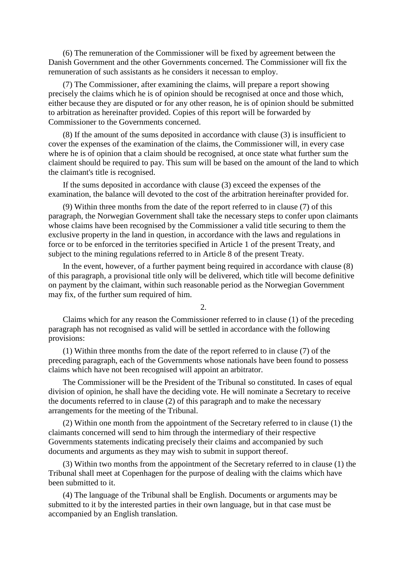(6) The remuneration of the Commissioner will be fixed by agreement between the Danish Government and the other Governments concerned. The Commissioner will fix the remuneration of such assistants as he considers it necessan to employ.

 (7) The Commissioner, after examining the claims, will prepare a report showing precisely the claims which he is of opinion should be recognised at once and those which, either because they are disputed or for any other reason, he is of opinion should be submitted to arbitration as hereinafter provided. Copies of this report will be forwarded by Commissioner to the Governments concerned.

 (8) If the amount of the sums deposited in accordance with clause (3) is insufficient to cover the expenses of the examination of the claims, the Commissioner will, in every case where he is of opinion that a claim should be recognised, at once state what further sum the claiment should be required to pay. This sum will be based on the amount of the land to which the claimant's title is recognised.

 If the sums deposited in accordance with clause (3) exceed the expenses of the examination, the balance will devoted to the cost of the arbitration hereinafter provided for.

 (9) Within three months from the date of the report referred to in clause (7) of this paragraph, the Norwegian Government shall take the necessary steps to confer upon claimants whose claims have been recognised by the Commissioner a valid title securing to them the exclusive property in the land in question, in accordance with the laws and regulations in force or to be enforced in the territories specified in Article 1 of the present Treaty, and subject to the mining regulations referred to in Article 8 of the present Treaty.

 In the event, however, of a further payment being required in accordance with clause (8) of this paragraph, a provisional title only will be delivered, which title will become definitive on payment by the claimant, within such reasonable period as the Norwegian Government may fix, of the further sum required of him.

2.

 Claims which for any reason the Commissioner referred to in clause (1) of the preceding paragraph has not recognised as valid will be settled in accordance with the following provisions:

 (1) Within three months from the date of the report referred to in clause (7) of the preceding paragraph, each of the Governments whose nationals have been found to possess claims which have not been recognised will appoint an arbitrator.

 The Commissioner will be the President of the Tribunal so constituted. In cases of equal division of opinion, he shall have the deciding vote. He will nominate a Secretary to receive the documents referred to in clause (2) of this paragraph and to make the necessary arrangements for the meeting of the Tribunal.

 (2) Within one month from the appointment of the Secretary referred to in clause (1) the claimants concerned will send to him through the intermediary of their respective Governments statements indicating precisely their claims and accompanied by such documents and arguments as they may wish to submit in support thereof.

 (3) Within two months from the appointment of the Secretary referred to in clause (1) the Tribunal shall meet at Copenhagen for the purpose of dealing with the claims which have been submitted to it.

 (4) The language of the Tribunal shall be English. Documents or arguments may be submitted to it by the interested parties in their own language, but in that case must be accompanied by an English translation.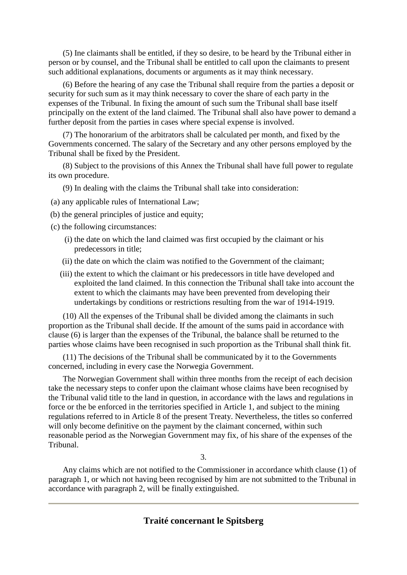(5) Ine claimants shall be entitled, if they so desire, to be heard by the Tribunal either in person or by counsel, and the Tribunal shall be entitled to call upon the claimants to present such additional explanations, documents or arguments as it may think necessary.

 (6) Before the hearing of any case the Tribunal shall require from the parties a deposit or security for such sum as it may think necessary to cover the share of each party in the expenses of the Tribunal. In fixing the amount of such sum the Tribunal shall base itself principally on the extent of the land claimed. The Tribunal shall also have power to demand a further deposit from the parties in cases where special expense is involved.

 (7) The honorarium of the arbitrators shall be calculated per month, and fixed by the Governments concerned. The salary of the Secretary and any other persons employed by the Tribunal shall be fixed by the President.

 (8) Subject to the provisions of this Annex the Tribunal shall have full power to regulate its own procedure.

(9) In dealing with the claims the Tribunal shall take into consideration:

- (a) any applicable rules of International Law;
- (b) the general principles of justice and equity;

(c) the following circumstances:

- (i) the date on which the land claimed was first occupied by the claimant or his predecessors in title;
- (ii) the date on which the claim was notified to the Government of the claimant;
- (iii) the extent to which the claimant or his predecessors in title have developed and exploited the land claimed. In this connection the Tribunal shall take into account the extent to which the claimants may have been prevented from developing their undertakings by conditions or restrictions resulting from the war of 1914-1919.

 (10) All the expenses of the Tribunal shall be divided among the claimants in such proportion as the Tribunal shall decide. If the amount of the sums paid in accordance with clause (6) is larger than the expenses of the Tribunal, the balance shall be returned to the parties whose claims have been recognised in such proportion as the Tribunal shall think fit.

 (11) The decisions of the Tribunal shall be communicated by it to the Governments concerned, including in every case the Norwegia Government.

 The Norwegian Government shall within three months from the receipt of each decision take the necessary steps to confer upon the claimant whose claims have been recognised by the Tribunal valid title to the land in question, in accordance with the laws and regulations in force or the be enforced in the territories specified in Article 1, and subject to the mining regulations referred to in Article 8 of the present Treaty. Nevertheless, the titles so conferred will only become definitive on the payment by the claimant concerned, within such reasonable period as the Norwegian Government may fix, of his share of the expenses of the Tribunal.

3.

 Any claims which are not notified to the Commissioner in accordance whith clause (1) of paragraph 1, or which not having been recognised by him are not submitted to the Tribunal in accordance with paragraph 2, will be finally extinguished.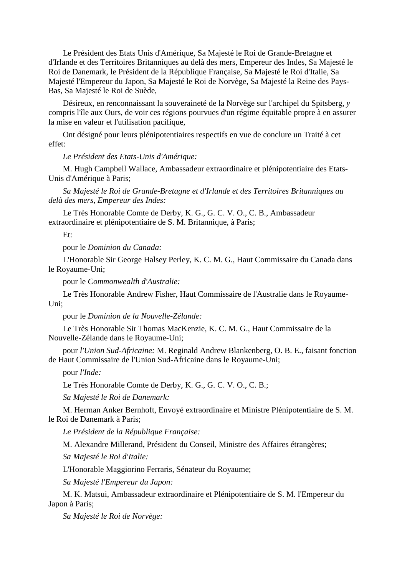Le Président des Etats Unis d'Amérique, Sa Majesté le Roi de Grande-Bretagne et d'Irlande et des Territoires Britanniques au delà des mers, Empereur des Indes, Sa Majesté le Roi de Danemark, le Président de la République Française, Sa Majesté le Roi d'Italie, Sa Majesté l'Empereur du Japon, Sa Majesté le Roi de Norvège, Sa Majesté la Reine des Pays-Bas, Sa Majesté le Roi de Suède,

 Désireux, en renconnaissant la souveraineté de la Norvège sur l'archipel du Spitsberg, *y* compris l'île aux Ours, de voir ces régions pourvues d'un régime équitable propre à en assurer la mise en valeur et l'utilisation pacifique,

 Ont désigné pour leurs plénipotentiaires respectifs en vue de conclure un Traité à cet effet:

*Le Président des Etats-Unis d'Amérique:*

 M. Hugh Campbell Wallace, Ambassadeur extraordinaire et plénipotentiaire des Etats-Unis d'Amérique à Paris;

 *Sa Majesté le Roi de Grande-Bretagne et d'Irlande et des Territoires Britanniques au delà des mers, Empereur des Indes:*

 Le Très Honorable Comte de Derby, K. G., G. C. V. O., C. B., Ambassadeur extraordinaire et plénipotentiaire de S. M. Britannique, à Paris;

Et:

pour le *Dominion du Canada:*

 L'Honorable Sir George Halsey Perley, K. C. M. G., Haut Commissaire du Canada dans le Royaume-Uni;

pour le *Commonwealth d'Australie:*

 Le Très Honorable Andrew Fisher, Haut Commissaire de l'Australie dans le Royaume-Uni;

pour le *Dominion de la Nouvelle-Zélande:*

 Le Très Honorable Sir Thomas MacKenzie, K. C. M. G., Haut Commissaire de la Nouvelle-Zélande dans le Royaume-Uni;

 pour *l'Union Sud-Africaine:* M. Reginald Andrew Blankenberg, O. B. E., faisant fonction de Haut Commissaire de l'Union Sud-Africaine dans le Royaume-Uni;

pour *l'Inde:*

Le Très Honorable Comte de Derby, K. G., G. C. V. O., C. B.;

*Sa Majesté le Roi de Danemark:*

 M. Herman Anker Bernhoft, Envoyé extraordinaire et Ministre Plénipotentiaire de S. M. le Roi de Danemark à Paris;

*Le Président de la République Française:*

M. Alexandre Millerand, Président du Conseil, Ministre des Affaires étrangères;

*Sa Majesté le Roi d'Italie:*

L'Honorable Maggiorino Ferraris, Sénateur du Royaume;

*Sa Majesté l'Empereur du Japon:*

 M. K. Matsui, Ambassadeur extraordinaire et Plénipotentiaire de S. M. l'Empereur du Japon à Paris;

*Sa Majesté le Roi de Norvège:*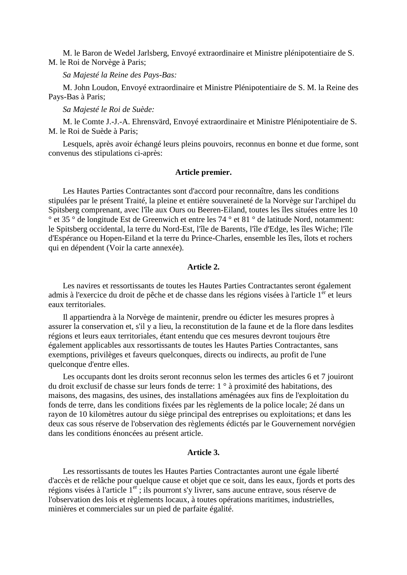M. le Baron de Wedel Jarlsberg, Envoyé extraordinaire et Ministre plénipotentiaire de S. M. le Roi de Norvège à Paris;

### *Sa Majesté la Reine des Pays-Bas:*

 M. John Loudon, Envoyé extraordinaire et Ministre Plénipotentiaire de S. M. la Reine des Pays-Bas à Paris;

# *Sa Majesté le Roi de Suède:*

 M. le Comte J.-J.-A. Ehrensvärd, Envoyé extraordinaire et Ministre Plénipotentiaire de S. M. le Roi de Suède à Paris;

 Lesquels, après avoir échangé leurs pleins pouvoirs, reconnus en bonne et due forme, sont convenus des stipulations ci-après:

### **Article premier.**

 Les Hautes Parties Contractantes sont d'accord pour reconnaître, dans les conditions stipulées par le présent Traité, la pleine et entière souveraineté de la Norvège sur l'archipel du Spitsberg comprenant, avec l'île aux Ours ou Beeren-Eiland, toutes les îles situées entre les 10 ° et 35 ° de longitude Est de Greenwich et entre les 74 ° et 81 ° de latitude Nord, notamment: le Spitsberg occidental, la terre du Nord-Est, l'île de Barents, l'île d'Edge, les îles Wiche; l'île d'Espérance ou Hopen-Eiland et la terre du Prince-Charles, ensemble les îles, îlots et rochers qui en dépendent (Voir la carte annexée).

# **Article 2.**

Les navires et ressortissants de toutes les Hautes Parties Contractantes seront également admis à l'exercice du droit de pêche et de chasse dans les régions visées à l'article 1<sup>er</sup> et leurs eaux territoriales.

 Il appartiendra à la Norvège de maintenir, prendre ou édicter les mesures propres à assurer la conservation et, s'il y a lieu, la reconstitution de la faune et de la flore dans lesdites régions et leurs eaux territoriales, étant entendu que ces mesures devront toujours être également applicables aux ressortissants de toutes les Hautes Parties Contractantes, sans exemptions, privilèges et faveurs quelconques, directs ou indirects, au profit de l'une quelconque d'entre elles.

 Les occupants dont les droits seront reconnus selon les termes des articles 6 et 7 jouiront du droit exclusif de chasse sur leurs fonds de terre: 1 ° à proximité des habitations, des maisons, des magasins, des usines, des installations aménagées aux fins de l'exploitation du fonds de terre, dans les conditions fixées par les règlements de la police locale; 2é dans un rayon de 10 kilomètres autour du siège principal des entreprises ou exploitations; et dans les deux cas sous réserve de l'observation des règlements édictés par le Gouvernement norvégien dans les conditions énoncées au présent article.

#### **Article 3.**

 Les ressortissants de toutes les Hautes Parties Contractantes auront une égale liberté d'accès et de relâche pour quelque cause et objet que ce soit, dans les eaux, fjords et ports des régions visées à l'article 1<sup>er</sup> ; ils pourront s'v livrer, sans aucune entrave, sous réserve de l'observation des lois et règlements locaux, à toutes opérations maritimes, industrielles, minières et commerciales sur un pied de parfaite égalité.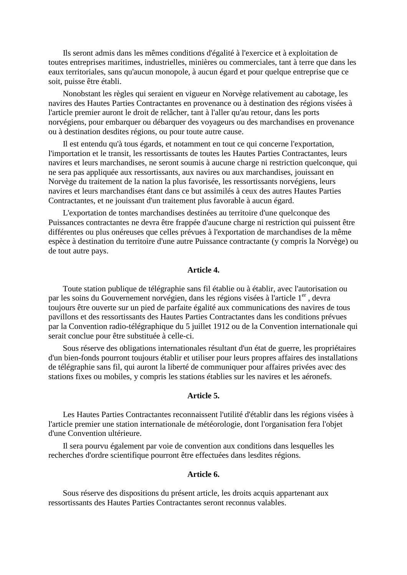Ils seront admis dans les mêmes conditions d'égalité à l'exercice et à exploitation de toutes entreprises maritimes, industrielles, minières ou commerciales, tant à terre que dans les eaux territoriales, sans qu'aucun monopole, à aucun égard et pour quelque entreprise que ce soit, puisse être établi.

 Nonobstant les règles qui seraient en vigueur en Norvège relativement au cabotage, les navires des Hautes Parties Contractantes en provenance ou à destination des régions visées à l'article premier auront le droit de relâcher, tant à l'aller qu'au retour, dans les ports norvégiens, pour embarquer ou débarquer des voyageurs ou des marchandises en provenance ou à destination desdites régions, ou pour toute autre cause.

 Il est entendu qu'à tous égards, et notamment en tout ce qui concerne l'exportation, l'importation et le transit, les ressortissants de toutes les Hautes Parties Contractantes, leurs navires et leurs marchandises, ne seront soumis à aucune charge ni restriction quelconque, qui ne sera pas appliquée aux ressortissants, aux navires ou aux marchandises, jouissant en Norvège du traitement de la nation la plus favorisée, les ressortissants norvégiens, leurs navires et leurs marchandises étant dans ce but assimilés à ceux des autres Hautes Parties Contractantes, et ne jouissant d'un traitement plus favorable à aucun égard.

 L'exportation de tontes marchandises destinées au territoire d'une quelconque des Puissances contractantes ne devra être frappée d'aucune charge ni restriction qui puissent être différentes ou plus onéreuses que celles prévues à l'exportation de marchandises de la même espèce à destination du territoire d'une autre Puissance contractante (y compris la Norvège) ou de tout autre pays.

#### **Article 4.**

 Toute station publique de télégraphie sans fil établie ou à établir, avec l'autorisation ou par les soins du Gouvernement norvégien, dans les régions visées à l'article 1<sup>er</sup>, devra toujours être ouverte sur un pied de parfaite égalité aux communications des navires de tous pavillons et des ressortissants des Hautes Parties Contractantes dans les conditions prévues par la Convention radio-télégraphique du 5 juillet 1912 ou de la Convention internationale qui serait conclue pour être substituée à celle-ci.

 Sous réserve des obligations internationales résultant d'un état de guerre, les propriétaires d'un bien-fonds pourront toujours établir et utiliser pour leurs propres affaires des installations de télégraphie sans fil, qui auront la liberté de communiquer pour affaires privées avec des stations fixes ou mobiles, y compris les stations établies sur les navires et les aéronefs.

# **Article 5.**

 Les Hautes Parties Contractantes reconnaissent l'utilité d'établir dans les régions visées à l'article premier une station internationale de météorologie, dont l'organisation fera l'objet d'une Convention ultérieure.

 Il sera pourvu également par voie de convention aux conditions dans lesquelles les recherches d'ordre scientifique pourront être effectuées dans lesdites régions.

# **Article 6.**

 Sous réserve des dispositions du présent article, les droits acquis appartenant aux ressortissants des Hautes Parties Contractantes seront reconnus valables.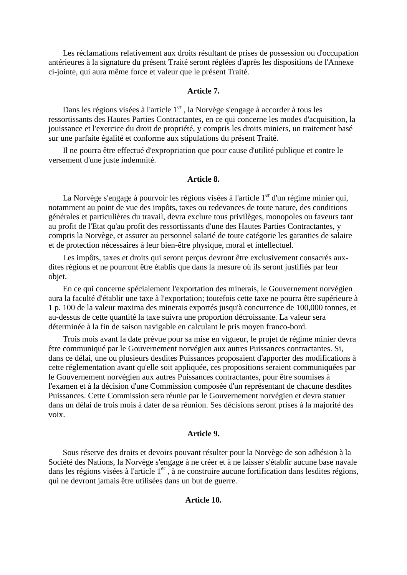Les réclamations relativement aux droits résultant de prises de possession ou d'occupation antérieures à la signature du présent Traité seront réglées d'après les dispositions de l'Annexe ci-jointe, qui aura même force et valeur que le présent Traité.

# **Article 7.**

Dans les régions visées à l'article  $1<sup>er</sup>$ , la Norvège s'engage à accorder à tous les ressortissants des Hautes Parties Contractantes, en ce qui concerne les modes d'acquisition, la jouissance et l'exercice du droit de propriété, y compris les droits miniers, un traitement basé sur une parfaite égalité et conforme aux stipulations du présent Traité.

 Il ne pourra être effectué d'expropriation que pour cause d'utilité publique et contre le versement d'une juste indemnité.

# **Article 8.**

La Norvège s'engage à pourvoir les régions visées à l'article  $1<sup>er</sup>$  d'un régime minier qui, notamment au point de vue des impôts, taxes ou redevances de toute nature, des conditions générales et particulières du travail, devra exclure tous privilèges, monopoles ou faveurs tant au profit de l'Etat qu'au profit des ressortissants d'une des Hautes Parties Contractantes, y compris la Norvège, et assurer au personnel salarié de toute catégorie les garanties de salaire et de protection nécessaires à leur bien-être physique, moral et intellectuel.

 Les impôts, taxes et droits qui seront perçus devront être exclusivement consacrés auxdites régions et ne pourront être établis que dans la mesure où ils seront justifiés par leur objet.

 En ce qui concerne spécialement l'exportation des minerais, le Gouvernement norvégien aura la faculté d'établir une taxe à l'exportation; toutefois cette taxe ne pourra être supérieure à 1 p. 100 de la valeur maxima des minerais exportés jusqu'à concurrence de 100,000 tonnes, et au-dessus de cette quantité la taxe suivra une proportion décroissante. La valeur sera déterminée à la fin de saison navigable en calculant le pris moyen franco-bord.

 Trois mois avant la date prévue pour sa mise en vigueur, le projet de régime minier devra être communiqué par le Gouvernement norvégien aux autres Puissances contractantes. Si, dans ce délai, une ou plusieurs desdites Puissances proposaient d'apporter des modifications à cette réglementation avant qu'elle soit appliquée, ces propositions seraient communiquées par le Gouvernement norvégien aux autres Puissances contractantes, pour être soumises à l'examen et à la décision d'une Commission composée d'un représentant de chacune desdites Puissances. Cette Commission sera réunie par le Gouvernement norvégien et devra statuer dans un délai de trois mois à dater de sa réunion. Ses décisions seront prises à la majorité des voix.

# **Article 9.**

 Sous réserve des droits et devoirs pouvant résulter pour la Norvège de son adhésion à la Société des Nations, la Norvège s'engage à ne créer et à ne laisser s'établir aucune base navale dans les régions visées à l'article 1<sup>er</sup>, à ne construire aucune fortification dans lesdites régions, qui ne devront jamais être utilisées dans un but de guerre.

# **Article 10.**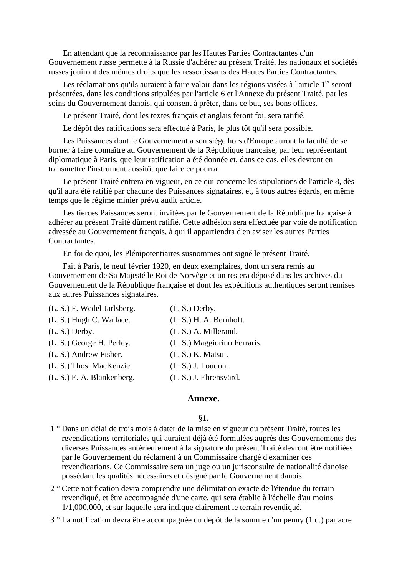En attendant que la reconnaissance par les Hautes Parties Contractantes d'un Gouvernement russe permette à la Russie d'adhérer au présent Traité, les nationaux et sociétés russes jouiront des mêmes droits que les ressortissants des Hautes Parties Contractantes.

Les réclamations qu'ils auraient à faire valoir dans les régions visées à l'article 1<sup>er</sup> seront présentées, dans les conditions stipulées par l'article 6 et l'Annexe du présent Traité, par les soins du Gouvernement danois, qui consent à prêter, dans ce but, ses bons offices.

Le présent Traité, dont les textes français et anglais feront foi, sera ratifié.

Le dépôt des ratifications sera effectué à Paris, le plus tôt qu'il sera possible.

 Les Puissances dont le Gouvernement a son siège hors d'Europe auront la faculté de se borner à faire connaître au Gouvernement de la République française, par leur représentant diplomatique à Paris, que leur ratification a été donnée et, dans ce cas, elles devront en transmettre l'instrument aussitôt que faire ce pourra.

Le présent Traité entrera en vigueur, en ce qui concerne les stipulations de l'article 8, dès qu'il aura été ratifié par chacune des Puissances signataires, et, à tous autres égards, en même temps que le régime minier prévu audit article.

 Les tierces Paissances seront invitées par le Gouvernement de la République française à adhérer au présent Traité dûment ratifié. Cette adhésion sera effectuée par voie de notification adressée au Gouvernement français, à qui il appartiendra d'en aviser les autres Parties Contractantes.

En foi de quoi, les Plénipotentiaires susnommes ont signé le présent Traité.

 Fait à Paris, le neuf février 1920, en deux exemplaires, dont un sera remis au Gouvernement de Sa Majesté le Roi de Norvège et un restera déposé dans les archives du Gouvernement de la République française et dont les expéditions authentiques seront remises aux autres Puissances signataires.

| (L. S.) F. Wedel Jarlsberg. | $(L. S.)$ Derby.             |
|-----------------------------|------------------------------|
| (L. S.) Hugh C. Wallace.    | (L. S.) H. A. Bernhoft.      |
| $(L. S.)$ Derby.            | (L. S.) A. Millerand.        |
| (L. S.) George H. Perley.   | (L. S.) Maggiorino Ferraris. |
| (L. S.) Andrew Fisher.      | (L. S.) K. Matsui.           |
| (L. S.) Thos. MacKenzie.    | $(L, S.)$ J. Loudon.         |
| (L. S.) E. A. Blankenberg.  | (L. S.) J. Ehrensvärd.       |
|                             |                              |

#### **Annexe.**

§1.

- 1 ° Dans un délai de trois mois à dater de la mise en vigueur du présent Traité, toutes les revendications territoriales qui auraient déjà été formulées auprès des Gouvernements des diverses Puissances antérieurement à la signature du présent Traité devront être notifiées par le Gouvernement du réclament à un Commissaire chargé d'examiner ces revendications. Ce Commissaire sera un juge ou un jurisconsulte de nationalité danoise possédant les qualités nécessaires et désigné par le Gouvernement danois.
- 2 ° Cette notification devra comprendre une délimitation exacte de l'étendue du terrain revendiqué, et être accompagnée d'une carte, qui sera établie à l'échelle d'au moins 1/1,000,000, et sur laquelle sera indique clairement le terrain revendiqué.

3 ° La notification devra être accompagnée du dépôt de la somme d'un penny (1 d.) par acre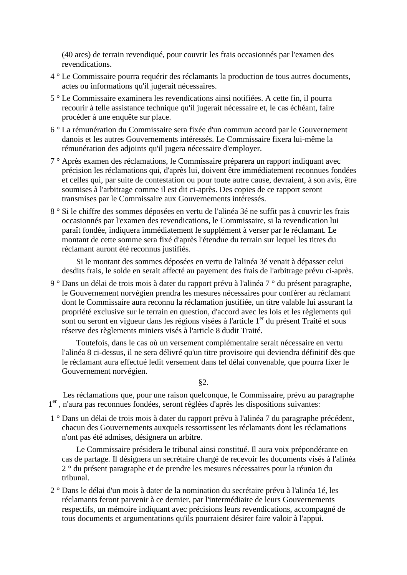(40 ares) de terrain revendiqué, pour couvrir les frais occasionnés par l'examen des revendications.

- 4 ° Le Commissaire pourra requérir des réclamants la production de tous autres documents, actes ou informations qu'il jugerait nécessaires.
- 5 ° Le Commissaire examinera les revendications ainsi notifiées. A cette fin, il pourra recourir à telle assistance technique qu'il jugerait nécessaire et, le cas échéant, faire procéder à une enquête sur place.
- 6 ° La rémunération du Commissaire sera fixée d'un commun accord par le Gouvernement danois et les autres Gouvernements intéressés. Le Commissaire fixera lui-même la rémunération des adjoints qu'il jugera nécessaire d'employer.
- 7 ° Après examen des réclamations, le Commissaire préparera un rapport indiquant avec précision les réclamations qui, d'après lui, doivent être immédiatement reconnues fondées et celles qui, par suite de contestation ou pour toute autre cause, devraient, à son avis, être soumises à l'arbitrage comme il est dit ci-après. Des copies de ce rapport seront transmises par le Commissaire aux Gouvernements intéressés.
- 8 ° Si le chiffre des sommes déposées en vertu de l'alinéa 3é ne suffit pas à couvrir les frais occasionnés par l'examen des revendications, le Commissaire, si la revendication lui paraît fondée, indiquera immédiatement le supplément à verser par le réclamant. Le montant de cette somme sera fixé d'après l'étendue du terrain sur lequel les titres du réclamant auront été reconnus justifiés.

 Si le montant des sommes déposées en vertu de l'alinéa 3é venait à dépasser celui desdits frais, le solde en serait affecté au payement des frais de l'arbitrage prévu ci-après.

9 ° Dans un délai de trois mois à dater du rapport prévu à l'alinéa 7 ° du présent paragraphe, le Gouvernement norvégien prendra les mesures nécessaires pour conférer au réclamant dont le Commissaire aura reconnu la réclamation justifiée, un titre valable lui assurant la propriété exclusive sur le terrain en question, d'accord avec les lois et les règlements qui sont ou seront en vigueur dans les régions visées à l'article  $1<sup>er</sup>$  du présent Traité et sous réserve des règlements miniers visés à l'article 8 dudit Traité.

 Toutefois, dans le cas où un versement complémentaire serait nécessaire en vertu l'alinéa 8 ci-dessus, il ne sera délivré qu'un titre provisoire qui deviendra définitif dès que le réclamant aura effectué ledit versement dans tel délai convenable, que pourra fixer le Gouvernement norvégien.

§2.

 Les réclamations que, pour une raison quelconque, le Commissaire, prévu au paragraphe 1 er , n'aura pas reconnues fondées, seront réglées d'après les dispositions suivantes:

1 ° Dans un délai de trois mois à dater du rapport prévu à l'alinéa 7 du paragraphe précédent, chacun des Gouvernements auxquels ressortissent les réclamants dont les réclamations n'ont pas été admises, désignera un arbitre.

 Le Commissaire présidera le tribunal ainsi constitué. Il aura voix prépondérante en cas de partage. Il désignera un secrétaire chargé de recevoir les documents visés à l'alinéa 2 ° du présent paragraphe et de prendre les mesures nécessaires pour la réunion du tribunal.

2 ° Dans le délai d'un mois à dater de la nomination du secrétaire prévu à l'alinéa 1é, les réclamants feront parvenir à ce dernier, par l'intermédiaire de leurs Gouvernements respectifs, un mémoire indiquant avec précisions leurs revendications, accompagné de tous documents et argumentations qu'ils pourraient désirer faire valoir à l'appui.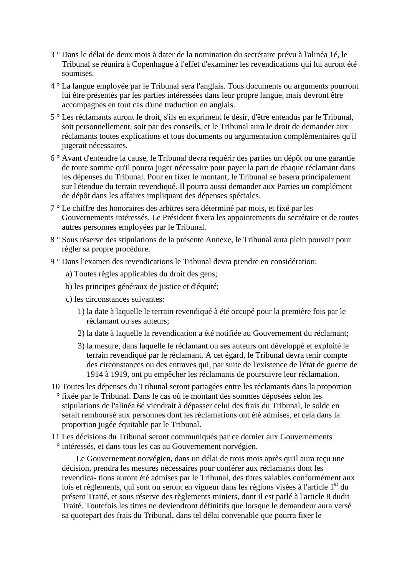- 3 ° Dans le délai de deux mois à dater de la nomination du secrétaire prévu à l'alinéa 1é, le Tribunal se réunira à Copenhague à l'effet d'examiner les revendications qui lui auront été soumises.
- 4 ° La langue employée par le Tribunal sera l'anglais. Tous documents ou arguments pourront lui être présentés par les parties intéressées dans leur propre langue, mais devront être accompagnés en tout cas d'une traduction en anglais.
- 5 ° Les réclamants auront le droit, s'ils en expriment le désir, d'être entendus par le Tribunal, soit personnellement, soit par des conseils, et le Tribunal aura le droit de demander aux réclamants toutes explications et tous documents ou argumentation complémentaires qu'il jugerait nécessaires.
- 6 ° Avant d'entendre la cause, le Tribunal devra requérir des parties un dépôt ou une garantie de toute somme qu'il pourra juger nécessaire pour payer la part de chaque réclamant dans les dépenses du Tribunal. Pour en fixer le montant, le Tribunal se basera principalement sur l'étendue du terrain revendiqué. Il pourra aussi demander aux Parties un complément de dépôt dans les affaires impliquant des dépenses spéciales.
- 7 ° Le chiffre des honoraires des arbitres sera déterminé par mois, et fixé par les Gouvernements intéressés. Le Président fixera les appointements du secrétaire et de toutes autres personnes employées par le Tribunal.
- 8 ° Sous réserve des stipulations de la présente Annexe, le Tribunal aura plein pouvoir pour régler sa propre procédure.
- 9 ° Dans l'examen des revendications le Tribunal devra prendre en considération:
	- a) Toutes règles applicables du droit des gens;
	- b) les principes généraux de justice et d'équité;
	- c) les circonstances suivantes:
		- 1) la date à laquelle le terrain revendiqué à été occupé pour la première fois par le réclamant ou ses auteurs;
		- 2) la date à laquelle la revendication a été notifiée au Gouvernement du réclamant;
		- 3) la mesure, dans laquelle le réclamant ou ses auteurs ont développé et exploité le terrain revendiqué par le réclamant. A cet égard, le Tribunal devra tenir compte des circonstances ou des entraves qui, par suite de l'existence de l'état de guerre de 1914 à 1919, ont pu empêcher les réclamants de poursuivre leur réclamation.
- 10 Toutes les dépenses du Tribunal seront partagées entre les réclamants dans la proportion  $\circ$ fixée par le Tribunal. Dans le cas où le montant des sommes déposées selon les stipulations de l'alinéa 6é viendrait à dépasser celui des frais du Tribunal, le solde en serait remboursé aux personnes dont les réclamations ont été admises, et cela dans la proportion jugée équitable par le Tribunal.
- 11 Les décisions du Tribunal seront communiqués par ce dernier aux Gouvernements ° intéressés, et dans tous les cas au Gouvernement norvégien.

 Le Gouvernement norvégien, dans un délai de trois mois après qu'il aura reçu une décision, prendra les mesures nécessaires pour conférer aux réclamants dont les revendica- tions auront été admises par le Tribunal, des titres valables conformément aux lois et règlements, qui sont ou seront en vigueur dans les régions visées à l'article 1<sup>er</sup> du présent Traité, et sous réserve des règlements miniers, dont il est parlé à l'article 8 dudit Traité. Toutefois les titres ne deviendront définitifs que lorsque le demandeur aura versé sa quotepart des frais du Tribunal, dans tel délai convenable que pourra fixer le